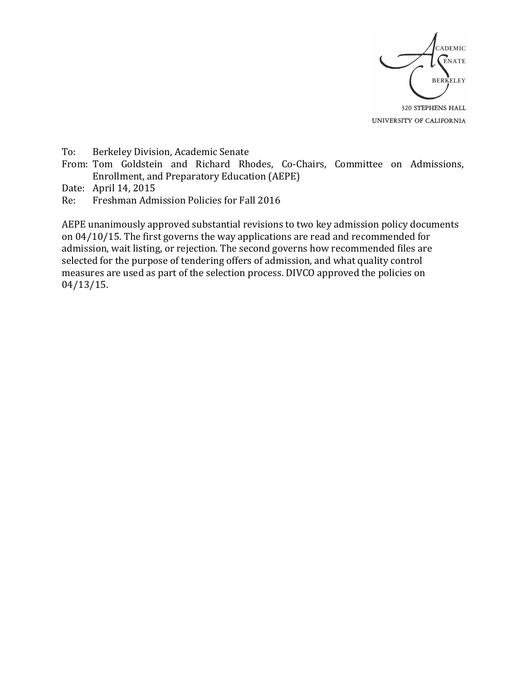

UNIVERSITY OF CALIFORNIA

To: Berkeley Division, Academic Senate

From: Tom Goldstein and Richard Rhodes, Co-Chairs, Committee on Admissions, Enrollment, and Preparatory Education (AEPE)

Date: April 14, 2015

Re: Freshman Admission Policies for Fall 2016

AEPE unanimously approved substantial revisions to two key admission policy documents on  $04/10/15$ . The first governs the way applications are read and recommended for admission, wait listing, or rejection. The second governs how recommended files are selected for the purpose of tendering offers of admission, and what quality control measures are used as part of the selection process. DIVCO approved the policies on 04/13/15.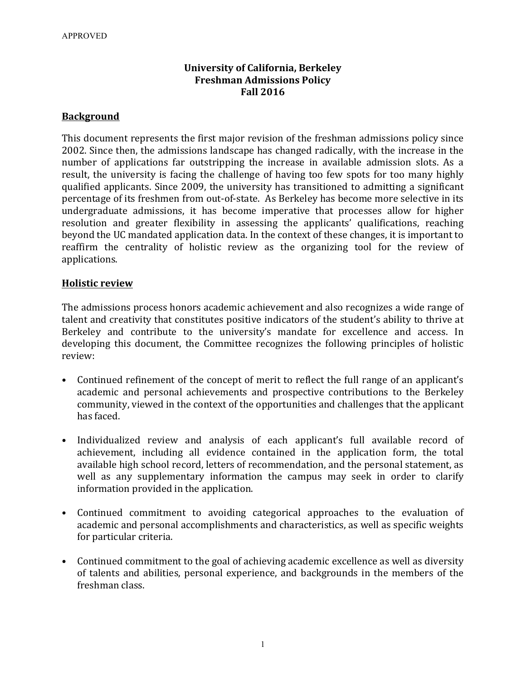# **University of California, Berkeley Freshman Admissions Policy Fall 2016**

### **Background**

This document represents the first major revision of the freshman admissions policy since 2002. Since then, the admissions landscape has changed radically, with the increase in the number of applications far outstripping the increase in available admission slots. As a result, the university is facing the challenge of having too few spots for too many highly qualified applicants. Since 2009, the university has transitioned to admitting a significant percentage of its freshmen from out-of-state. As Berkeley has become more selective in its undergraduate admissions, it has become imperative that processes allow for higher resolution and greater flexibility in assessing the applicants' qualifications, reaching beyond the UC mandated application data. In the context of these changes, it is important to reaffirm the centrality of holistic review as the organizing tool for the review of applications.

#### **Holistic review**

The admissions process honors academic achievement and also recognizes a wide range of talent and creativity that constitutes positive indicators of the student's ability to thrive at Berkeley and contribute to the university's mandate for excellence and access. In developing this document, the Committee recognizes the following principles of holistic review:

- Continued refinement of the concept of merit to reflect the full range of an applicant's academic and personal achievements and prospective contributions to the Berkeley community, viewed in the context of the opportunities and challenges that the applicant has faced.
- Individualized review and analysis of each applicant's full available record of achievement, including all evidence contained in the application form, the total available high school record, letters of recommendation, and the personal statement, as well as any supplementary information the campus may seek in order to clarify information provided in the application.
- Continued commitment to avoiding categorical approaches to the evaluation of academic and personal accomplishments and characteristics, as well as specific weights for particular criteria.
- Continued commitment to the goal of achieving academic excellence as well as diversity of talents and abilities, personal experience, and backgrounds in the members of the freshman class.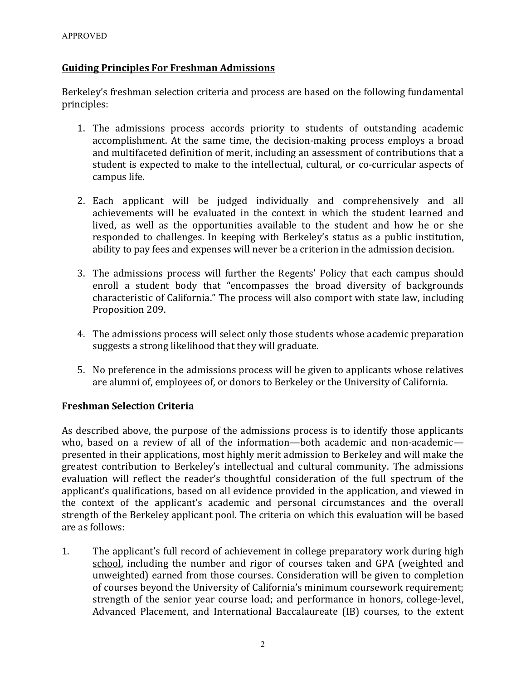# **Guiding Principles For Freshman Admissions**

Berkeley's freshman selection criteria and process are based on the following fundamental principles:

- 1. The admissions process accords priority to students of outstanding academic accomplishment. At the same time, the decision-making process employs a broad and multifaceted definition of merit, including an assessment of contributions that a student is expected to make to the intellectual, cultural, or co-curricular aspects of campus life.
- 2. Each applicant will be judged individually and comprehensively and all achievements will be evaluated in the context in which the student learned and lived, as well as the opportunities available to the student and how he or she responded to challenges. In keeping with Berkeley's status as a public institution, ability to pay fees and expenses will never be a criterion in the admission decision.
- 3. The admissions process will further the Regents' Policy that each campus should enroll a student body that "encompasses the broad diversity of backgrounds characteristic of California." The process will also comport with state law, including Proposition 209.
- 4. The admissions process will select only those students whose academic preparation suggests a strong likelihood that they will graduate.
- 5. No preference in the admissions process will be given to applicants whose relatives are alumni of, employees of, or donors to Berkeley or the University of California.

# **Freshman Selection Criteria**

As described above, the purpose of the admissions process is to identify those applicants who, based on a review of all of the information—both academic and non-academic presented in their applications, most highly merit admission to Berkeley and will make the greatest contribution to Berkeley's intellectual and cultural community. The admissions evaluation will reflect the reader's thoughtful consideration of the full spectrum of the applicant's qualifications, based on all evidence provided in the application, and viewed in the context of the applicant's academic and personal circumstances and the overall strength of the Berkeley applicant pool. The criteria on which this evaluation will be based are as follows:

1. The applicant's full record of achievement in college preparatory work during high school, including the number and rigor of courses taken and GPA (weighted and unweighted) earned from those courses. Consideration will be given to completion of courses beyond the University of California's minimum coursework requirement; strength of the senior year course load; and performance in honors, college-level, Advanced Placement, and International Baccalaureate (IB) courses, to the extent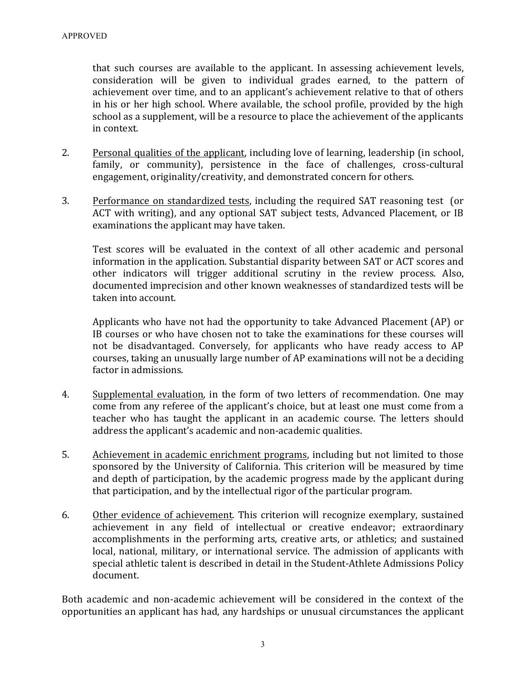that such courses are available to the applicant. In assessing achievement levels, consideration will be given to individual grades earned, to the pattern of achievement over time, and to an applicant's achievement relative to that of others in his or her high school. Where available, the school profile, provided by the high school as a supplement, will be a resource to place the achievement of the applicants in context.

- 2. Personal qualities of the applicant, including love of learning, leadership (in school, family, or community), persistence in the face of challenges, cross-cultural engagement, originality/creativity, and demonstrated concern for others.
- 3. Performance on standardized tests, including the required SAT reasoning test (or ACT with writing), and any optional SAT subject tests, Advanced Placement, or IB examinations the applicant may have taken.

Test scores will be evaluated in the context of all other academic and personal information in the application. Substantial disparity between SAT or ACT scores and other indicators will trigger additional scrutiny in the review process. Also, documented imprecision and other known weaknesses of standardized tests will be taken into account.

Applicants who have not had the opportunity to take Advanced Placement (AP) or IB courses or who have chosen not to take the examinations for these courses will not be disadvantaged. Conversely, for applicants who have ready access to AP courses, taking an unusually large number of AP examinations will not be a deciding factor in admissions.

- 4. Supplemental evaluation, in the form of two letters of recommendation. One may come from any referee of the applicant's choice, but at least one must come from a teacher who has taught the applicant in an academic course. The letters should address the applicant's academic and non-academic qualities.
- 5. Achievement in academic enrichment programs, including but not limited to those sponsored by the University of California. This criterion will be measured by time and depth of participation, by the academic progress made by the applicant during that participation, and by the intellectual rigor of the particular program.
- 6. Other evidence of achievement. This criterion will recognize exemplary, sustained achievement in any field of intellectual or creative endeavor; extraordinary accomplishments in the performing arts, creative arts, or athletics; and sustained local, national, military, or international service. The admission of applicants with special athletic talent is described in detail in the Student-Athlete Admissions Policy document.

Both academic and non-academic achievement will be considered in the context of the opportunities an applicant has had, any hardships or unusual circumstances the applicant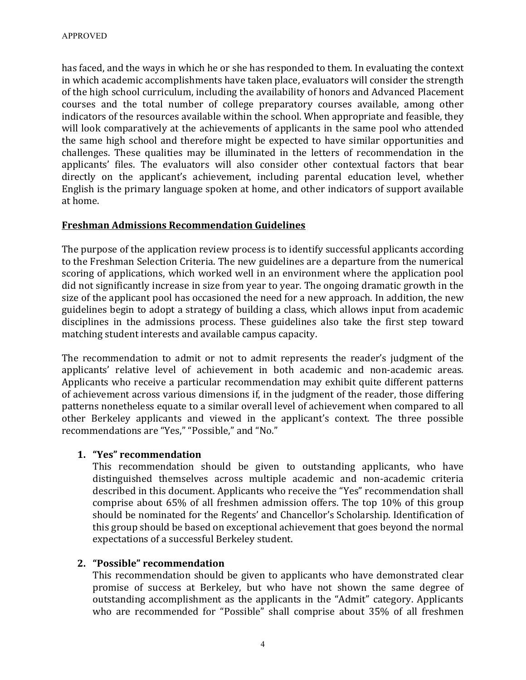has faced, and the ways in which he or she has responded to them. In evaluating the context in which academic accomplishments have taken place, evaluators will consider the strength of the high school curriculum, including the availability of honors and Advanced Placement courses and the total number of college preparatory courses available, among other indicators of the resources available within the school. When appropriate and feasible, they will look comparatively at the achievements of applicants in the same pool who attended the same high school and therefore might be expected to have similar opportunities and challenges. These qualities may be illuminated in the letters of recommendation in the applicants' files. The evaluators will also consider other contextual factors that bear directly on the applicant's achievement, including parental education level, whether English is the primary language spoken at home, and other indicators of support available at home.

# **Freshman Admissions Recommendation Guidelines**

The purpose of the application review process is to identify successful applicants according to the Freshman Selection Criteria. The new guidelines are a departure from the numerical scoring of applications, which worked well in an environment where the application pool did not significantly increase in size from year to year. The ongoing dramatic growth in the size of the applicant pool has occasioned the need for a new approach. In addition, the new guidelines begin to adopt a strategy of building a class, which allows input from academic disciplines in the admissions process. These guidelines also take the first step toward matching student interests and available campus capacity.

The recommendation to admit or not to admit represents the reader's judgment of the applicants' relative level of achievement in both academic and non-academic areas. Applicants who receive a particular recommendation may exhibit quite different patterns of achievement across various dimensions if, in the judgment of the reader, those differing patterns nonetheless equate to a similar overall level of achievement when compared to all other Berkeley applicants and viewed in the applicant's context. The three possible recommendations are "Yes," "Possible," and "No."

#### **1. "Yes" recommendation**

This recommendation should be given to outstanding applicants, who have distinguished themselves across multiple academic and non-academic criteria described in this document. Applicants who receive the "Yes" recommendation shall comprise about  $65\%$  of all freshmen admission offers. The top  $10\%$  of this group should be nominated for the Regents' and Chancellor's Scholarship. Identification of this group should be based on exceptional achievement that goes beyond the normal expectations of a successful Berkeley student.

# **2. "Possible" recommendation**

This recommendation should be given to applicants who have demonstrated clear promise of success at Berkeley, but who have not shown the same degree of outstanding accomplishment as the applicants in the "Admit" category. Applicants who are recommended for "Possible" shall comprise about 35% of all freshmen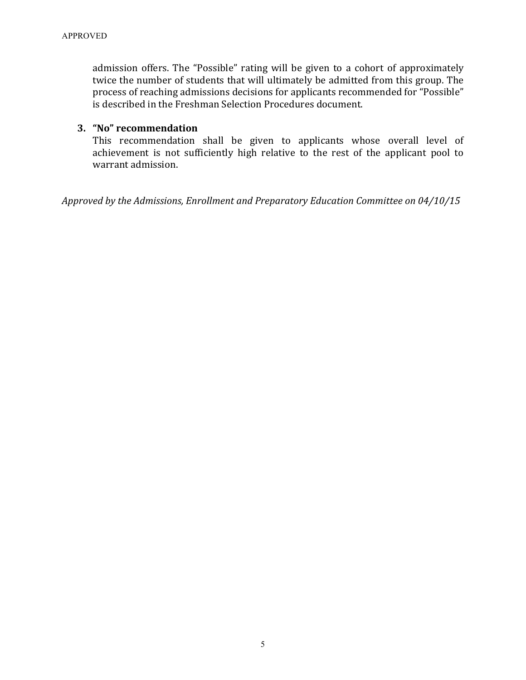admission offers. The "Possible" rating will be given to a cohort of approximately twice the number of students that will ultimately be admitted from this group. The process of reaching admissions decisions for applicants recommended for "Possible" is described in the Freshman Selection Procedures document.

### **3. "No" recommendation**

This recommendation shall be given to applicants whose overall level of achievement is not sufficiently high relative to the rest of the applicant pool to warrant admission.

*Approved by the Admissions, Enrollment and Preparatory Education Committee on 04/10/15*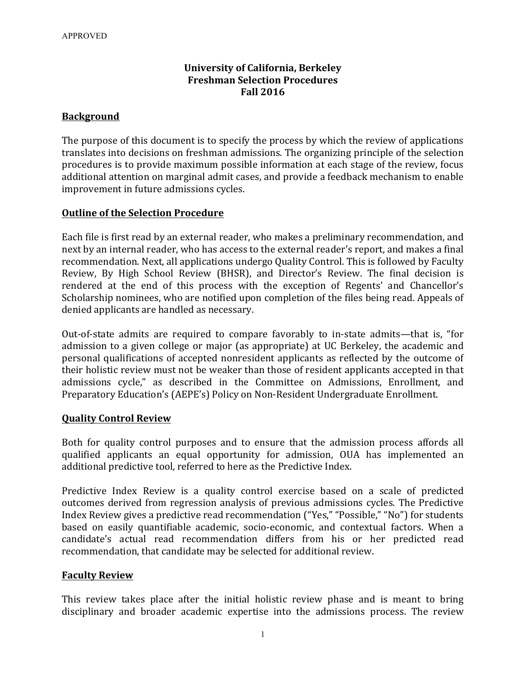# **University of California, Berkeley Freshman Selection Procedures Fall 2016**

### **Background**

The purpose of this document is to specify the process by which the review of applications translates into decisions on freshman admissions. The organizing principle of the selection procedures is to provide maximum possible information at each stage of the review, focus additional attention on marginal admit cases, and provide a feedback mechanism to enable improvement in future admissions cycles.

#### **Outline of the Selection Procedure**

Each file is first read by an external reader, who makes a preliminary recommendation, and next by an internal reader, who has access to the external reader's report, and makes a final recommendation. Next, all applications undergo Quality Control. This is followed by Faculty Review, By High School Review (BHSR), and Director's Review. The final decision is rendered at the end of this process with the exception of Regents' and Chancellor's Scholarship nominees, who are notified upon completion of the files being read. Appeals of denied applicants are handled as necessary.

Out-of-state admits are required to compare favorably to in-state admits—that is, "for admission to a given college or major (as appropriate) at UC Berkeley, the academic and personal qualifications of accepted nonresident applicants as reflected by the outcome of their holistic review must not be weaker than those of resident applicants accepted in that admissions cycle," as described in the Committee on Admissions, Enrollment, and Preparatory Education's (AEPE's) Policy on Non-Resident Undergraduate Enrollment.

#### **Quality Control Review**

Both for quality control purposes and to ensure that the admission process affords all qualified applicants an equal opportunity for admission, OUA has implemented an additional predictive tool, referred to here as the Predictive Index.

Predictive Index Review is a quality control exercise based on a scale of predicted outcomes derived from regression analysis of previous admissions cycles. The Predictive Index Review gives a predictive read recommendation ("Yes," "Possible," "No") for students based on easily quantifiable academic, socio-economic, and contextual factors. When a candidate's actual read recommendation differs from his or her predicted read recommendation, that candidate may be selected for additional review.

# **Faculty Review**

This review takes place after the initial holistic review phase and is meant to bring disciplinary and broader academic expertise into the admissions process. The review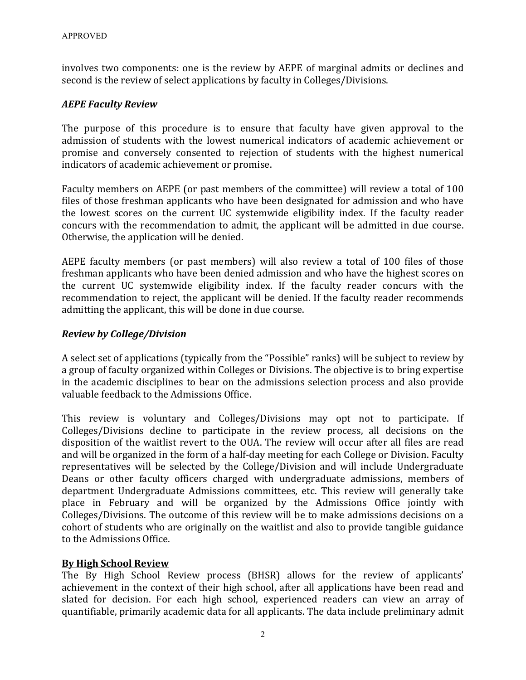involves two components: one is the review by AEPE of marginal admits or declines and second is the review of select applications by faculty in Colleges/Divisions.

# *AEPE Faculty Review*

The purpose of this procedure is to ensure that faculty have given approval to the admission of students with the lowest numerical indicators of academic achievement or promise and conversely consented to rejection of students with the highest numerical indicators of academic achievement or promise.

Faculty members on AEPE (or past members of the committee) will review a total of 100 files of those freshman applicants who have been designated for admission and who have the lowest scores on the current UC systemwide eligibility index. If the faculty reader concurs with the recommendation to admit, the applicant will be admitted in due course. Otherwise, the application will be denied.

AEPE faculty members (or past members) will also review a total of 100 files of those freshman applicants who have been denied admission and who have the highest scores on the current UC systemwide eligibility index. If the faculty reader concurs with the recommendation to reject, the applicant will be denied. If the faculty reader recommends admitting the applicant, this will be done in due course.

# *Review by College/Division*

A select set of applications (typically from the "Possible" ranks) will be subject to review by a group of faculty organized within Colleges or Divisions. The objective is to bring expertise in the academic disciplines to bear on the admissions selection process and also provide valuable feedback to the Admissions Office.

This review is voluntary and Colleges/Divisions may opt not to participate. If Colleges/Divisions decline to participate in the review process, all decisions on the disposition of the waitlist revert to the OUA. The review will occur after all files are read and will be organized in the form of a half-day meeting for each College or Division. Faculty representatives will be selected by the College/Division and will include Undergraduate Deans or other faculty officers charged with undergraduate admissions, members of department Undergraduate Admissions committees, etc. This review will generally take place in February and will be organized by the Admissions Office jointly with Colleges/Divisions. The outcome of this review will be to make admissions decisions on a cohort of students who are originally on the waitlist and also to provide tangible guidance to the Admissions Office.

# **By High School Review**

The By High School Review process (BHSR) allows for the review of applicants' achievement in the context of their high school, after all applications have been read and slated for decision. For each high school, experienced readers can view an array of quantifiable, primarily academic data for all applicants. The data include preliminary admit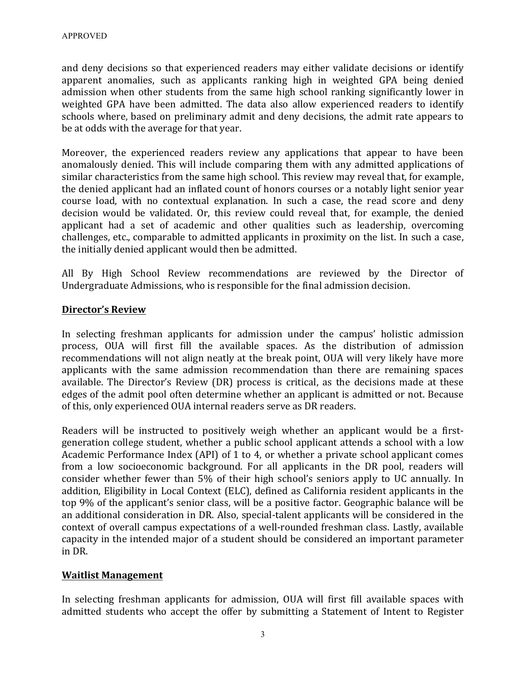and deny decisions so that experienced readers may either validate decisions or identify apparent anomalies, such as applicants ranking high in weighted GPA being denied admission when other students from the same high school ranking significantly lower in weighted GPA have been admitted. The data also allow experienced readers to identify schools where, based on preliminary admit and deny decisions, the admit rate appears to be at odds with the average for that year.

Moreover, the experienced readers review any applications that appear to have been anomalously denied. This will include comparing them with any admitted applications of similar characteristics from the same high school. This review may reveal that, for example, the denied applicant had an inflated count of honors courses or a notably light senior year course load, with no contextual explanation. In such a case, the read score and deny decision would be validated. Or, this review could reveal that, for example, the denied applicant had a set of academic and other qualities such as leadership, overcoming challenges, etc., comparable to admitted applicants in proximity on the list. In such a case, the initially denied applicant would then be admitted.

All By High School Review recommendations are reviewed by the Director of Undergraduate Admissions, who is responsible for the final admission decision.

# **Director's Review**

In selecting freshman applicants for admission under the campus' holistic admission process, OUA will first fill the available spaces. As the distribution of admission recommendations will not align neatly at the break point, OUA will very likely have more applicants with the same admission recommendation than there are remaining spaces available. The Director's Review (DR) process is critical, as the decisions made at these edges of the admit pool often determine whether an applicant is admitted or not. Because of this, only experienced OUA internal readers serve as DR readers.

Readers will be instructed to positively weigh whether an applicant would be a firstgeneration college student, whether a public school applicant attends a school with a low Academic Performance Index (API) of 1 to 4, or whether a private school applicant comes from a low socioeconomic background. For all applicants in the DR pool, readers will consider whether fewer than 5% of their high school's seniors apply to UC annually. In addition, Eligibility in Local Context (ELC), defined as California resident applicants in the top 9% of the applicant's senior class, will be a positive factor. Geographic balance will be an additional consideration in DR. Also, special-talent applicants will be considered in the context of overall campus expectations of a well-rounded freshman class. Lastly, available capacity in the intended major of a student should be considered an important parameter in DR.

# **Waitlist Management**

In selecting freshman applicants for admission, OUA will first fill available spaces with admitted students who accept the offer by submitting a Statement of Intent to Register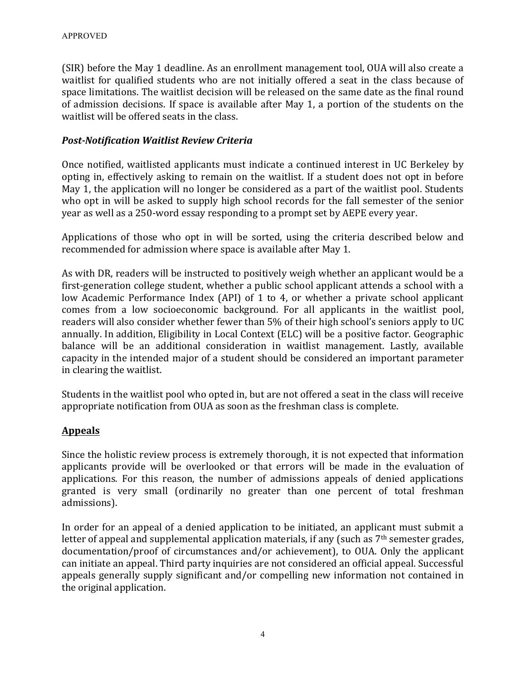(SIR) before the May 1 deadline. As an enrollment management tool, OUA will also create a waitlist for qualified students who are not initially offered a seat in the class because of space limitations. The waitlist decision will be released on the same date as the final round of admission decisions. If space is available after May 1, a portion of the students on the waitlist will be offered seats in the class.

### *Post-Notification Waitlist Review Criteria*

Once notified, waitlisted applicants must indicate a continued interest in UC Berkeley by opting in, effectively asking to remain on the waitlist. If a student does not opt in before May 1, the application will no longer be considered as a part of the waitlist pool. Students who opt in will be asked to supply high school records for the fall semester of the senior year as well as a 250-word essay responding to a prompt set by AEPE every year.

Applications of those who opt in will be sorted, using the criteria described below and recommended for admission where space is available after May 1.

As with DR, readers will be instructed to positively weigh whether an applicant would be a first-generation college student, whether a public school applicant attends a school with a low Academic Performance Index (API) of 1 to 4, or whether a private school applicant comes from a low socioeconomic background. For all applicants in the waitlist pool, readers will also consider whether fewer than 5% of their high school's seniors apply to UC annually. In addition, Eligibility in Local Context (ELC) will be a positive factor. Geographic balance will be an additional consideration in waitlist management. Lastly, available capacity in the intended major of a student should be considered an important parameter in clearing the waitlist.

Students in the waitlist pool who opted in, but are not offered a seat in the class will receive appropriate notification from OUA as soon as the freshman class is complete.

# **Appeals**

Since the holistic review process is extremely thorough, it is not expected that information applicants provide will be overlooked or that errors will be made in the evaluation of applications. For this reason, the number of admissions appeals of denied applications granted is very small (ordinarily no greater than one percent of total freshman admissions).

In order for an appeal of a denied application to be initiated, an applicant must submit a letter of appeal and supplemental application materials, if any (such as  $7<sup>th</sup>$  semester grades, documentation/proof of circumstances and/or achievement), to OUA. Only the applicant can initiate an appeal. Third party inquiries are not considered an official appeal. Successful appeals generally supply significant and/or compelling new information not contained in the original application.